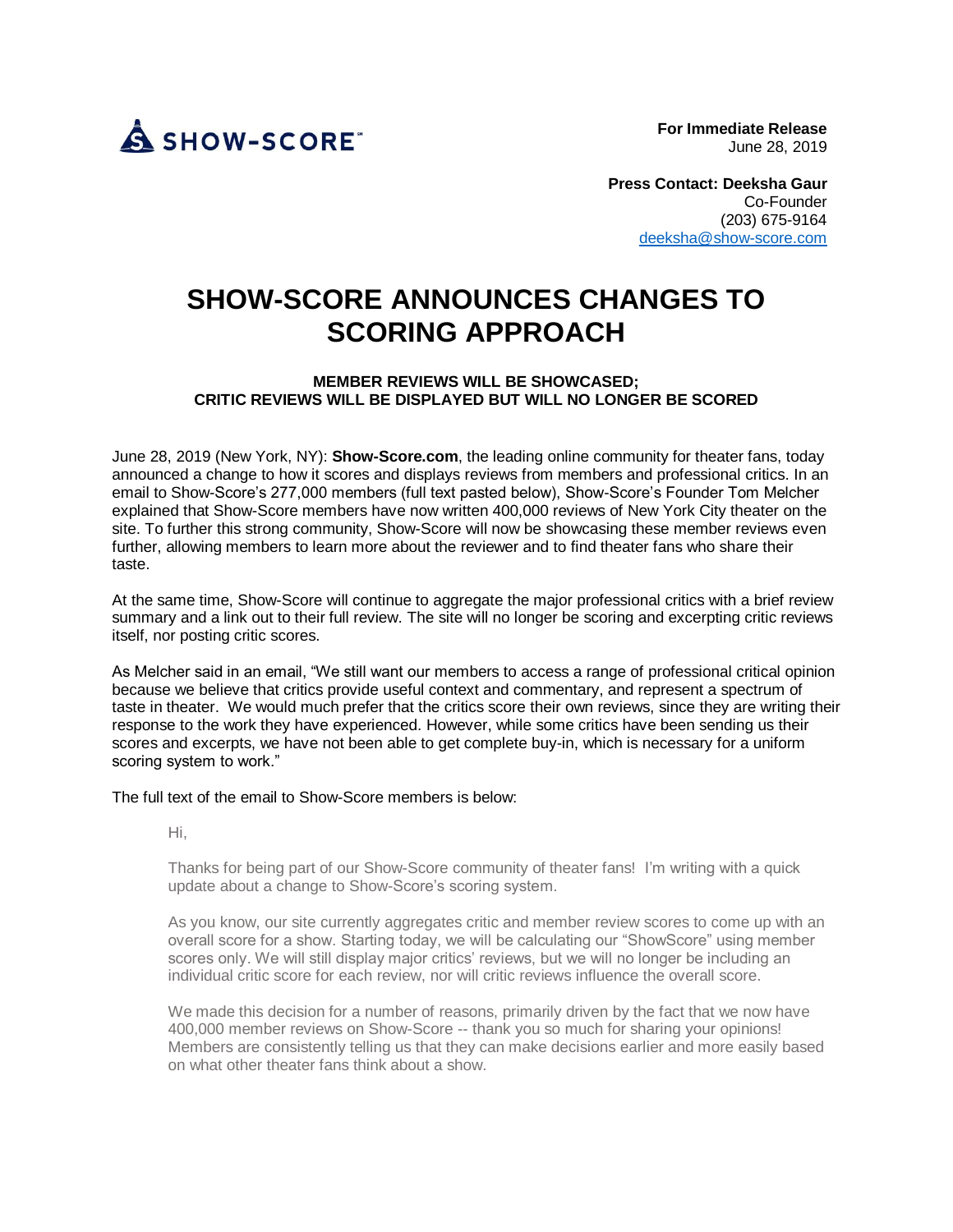

**For Immediate Release**  June 28, 2019

**Press Contact: Deeksha Gaur** Co-Founder (203) 675-9164 [deeksha@show-score.com](mailto:deeksha@show-score.com)

## **SHOW-SCORE ANNOUNCES CHANGES TO SCORING APPROACH**

## **MEMBER REVIEWS WILL BE SHOWCASED; CRITIC REVIEWS WILL BE DISPLAYED BUT WILL NO LONGER BE SCORED**

June 28, 2019 (New York, NY): **Show-Score.com**, the leading online community for theater fans, today announced a change to how it scores and displays reviews from members and professional critics. In an email to Show-Score's 277,000 members (full text pasted below), Show-Score's Founder Tom Melcher explained that Show-Score members have now written 400,000 reviews of New York City theater on the site. To further this strong community, Show-Score will now be showcasing these member reviews even further, allowing members to learn more about the reviewer and to find theater fans who share their taste.

At the same time, Show-Score will continue to aggregate the major professional critics with a brief review summary and a link out to their full review. The site will no longer be scoring and excerpting critic reviews itself, nor posting critic scores.

As Melcher said in an email, "We still want our members to access a range of professional critical opinion because we believe that critics provide useful context and commentary, and represent a spectrum of taste in theater. We would much prefer that the critics score their own reviews, since they are writing their response to the work they have experienced. However, while some critics have been sending us their scores and excerpts, we have not been able to get complete buy-in, which is necessary for a uniform scoring system to work."

The full text of the email to Show-Score members is below:

Hi,

Thanks for being part of our Show-Score community of theater fans! I'm writing with a quick update about a change to Show-Score's scoring system.

As you know, our site currently aggregates critic and member review scores to come up with an overall score for a show. Starting today, we will be calculating our "ShowScore" using member scores only. We will still display major critics' reviews, but we will no longer be including an individual critic score for each review, nor will critic reviews influence the overall score.

We made this decision for a number of reasons, primarily driven by the fact that we now have 400,000 member reviews on Show-Score -- thank you so much for sharing your opinions! Members are consistently telling us that they can make decisions earlier and more easily based on what other theater fans think about a show.